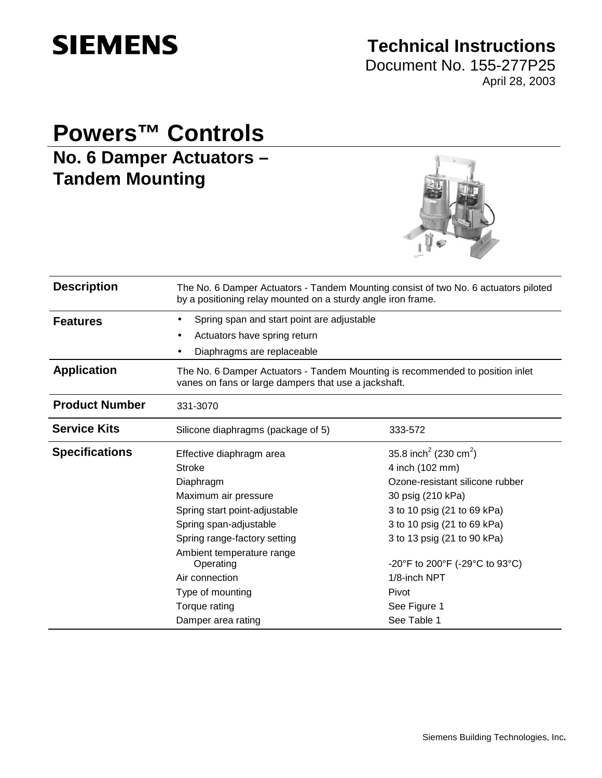

# **Technical Instructions**

Document No. 155-277P25 April 28, 2003

# **Powers™ Controls**

**No. 6 Damper Actuators – Tandem Mounting** 



| <b>Description</b>    | The No. 6 Damper Actuators - Tandem Mounting consist of two No. 6 actuators piloted<br>by a positioning relay mounted on a sturdy angle iron frame. |                                               |  |  |
|-----------------------|-----------------------------------------------------------------------------------------------------------------------------------------------------|-----------------------------------------------|--|--|
| <b>Features</b>       | Spring span and start point are adjustable                                                                                                          |                                               |  |  |
|                       | Actuators have spring return                                                                                                                        |                                               |  |  |
|                       | Diaphragms are replaceable                                                                                                                          |                                               |  |  |
| <b>Application</b>    | The No. 6 Damper Actuators - Tandem Mounting is recommended to position inlet<br>vanes on fans or large dampers that use a jackshaft.               |                                               |  |  |
| <b>Product Number</b> | 331-3070                                                                                                                                            |                                               |  |  |
| <b>Service Kits</b>   | Silicone diaphragms (package of 5)                                                                                                                  | 333-572                                       |  |  |
| <b>Specifications</b> | Effective diaphragm area                                                                                                                            | 35.8 inch <sup>2</sup> (230 cm <sup>2</sup> ) |  |  |
|                       | <b>Stroke</b>                                                                                                                                       | 4 inch (102 mm)                               |  |  |
|                       | Diaphragm                                                                                                                                           | Ozone-resistant silicone rubber               |  |  |
|                       | Maximum air pressure                                                                                                                                | 30 psig (210 kPa)                             |  |  |
|                       | Spring start point-adjustable                                                                                                                       | 3 to 10 psig (21 to 69 kPa)                   |  |  |
|                       | Spring span-adjustable                                                                                                                              | 3 to 10 psig (21 to 69 kPa)                   |  |  |
|                       | Spring range-factory setting                                                                                                                        | 3 to 13 psig (21 to 90 kPa)                   |  |  |
|                       | Ambient temperature range<br>Operating                                                                                                              | -20°F to 200°F (-29°C to 93°C)                |  |  |
|                       | Air connection                                                                                                                                      | 1/8-inch NPT                                  |  |  |
|                       | Type of mounting                                                                                                                                    | Pivot                                         |  |  |
|                       | Torque rating                                                                                                                                       | See Figure 1                                  |  |  |
|                       | Damper area rating                                                                                                                                  | See Table 1                                   |  |  |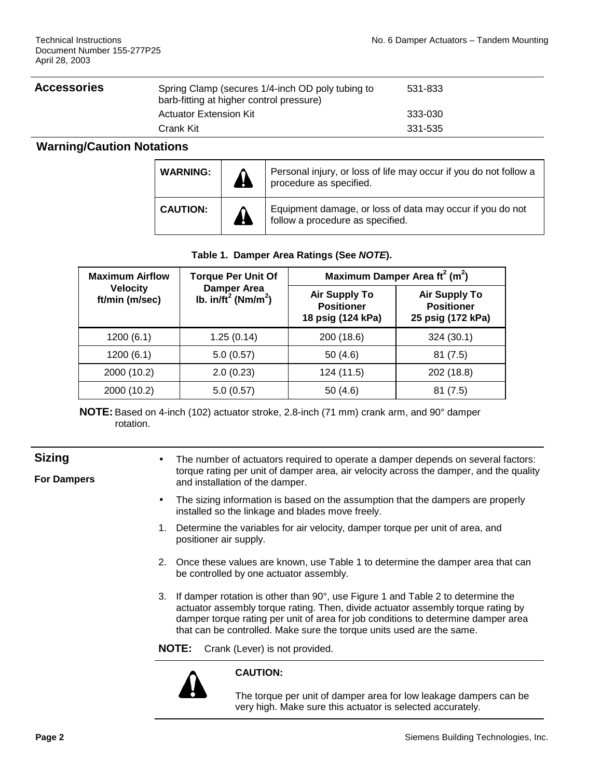#### Accessories **Accessories**

| Spring Clamp (secures 1/4-inch OD poly tubing to<br>barb-fitting at higher control pressure) | 531-833 |  |
|----------------------------------------------------------------------------------------------|---------|--|
| Actuator Extension Kit                                                                       | 333-030 |  |
| Crank Kit                                                                                    | 331-535 |  |

#### **Warning/Caution Notations**

| <b>WARNING:</b> | <b>AF</b> | Personal injury, or loss of life may occur if you do not follow a<br>procedure as specified.  |
|-----------------|-----------|-----------------------------------------------------------------------------------------------|
| <b>CAUTION:</b> | 4         | Equipment damage, or loss of data may occur if you do not<br>follow a procedure as specified. |

#### **Table 1. Damper Area Ratings (See NOTE).**

| <b>Maximum Airflow</b>            | <b>Torque Per Unit Of</b>                                | Maximum Damper Area $\text{ft}^2$ (m <sup>2</sup> )            |                                                                |  |
|-----------------------------------|----------------------------------------------------------|----------------------------------------------------------------|----------------------------------------------------------------|--|
| <b>Velocity</b><br>ft/min (m/sec) | <b>Damper Area</b><br>Ib. $in/ft^2$ (Nm/m <sup>2</sup> ) | <b>Air Supply To</b><br><b>Positioner</b><br>18 psig (124 kPa) | <b>Air Supply To</b><br><b>Positioner</b><br>25 psig (172 kPa) |  |
| 1200(6.1)                         | 1.25(0.14)                                               | 200 (18.6)                                                     | 324(30.1)                                                      |  |
| 1200(6.1)                         | 5.0(0.57)                                                | 50 $(4.6)$                                                     | 81(7.5)                                                        |  |
| 2000 (10.2)                       | 2.0(0.23)                                                | 124 (11.5)                                                     | 202 (18.8)                                                     |  |
| 2000 (10.2)                       | 5.0(0.57)                                                | 50(4.6)                                                        | 81 (7.5)                                                       |  |

**NOTE:** Based on 4-inch (102) actuator stroke, 2.8-inch (71 mm) crank arm, and 90° damper rotation.

## **Sizing**

**For Dampers** 

- The number of actuators required to operate a damper depends on several factors: torque rating per unit of damper area, air velocity across the damper, and the quality and installation of the damper.
- The sizing information is based on the assumption that the dampers are properly installed so the linkage and blades move freely.
- 1. Determine the variables for air velocity, damper torque per unit of area, and positioner air supply.
- 2. Once these values are known, use Table 1 to determine the damper area that can be controlled by one actuator assembly.
- 3. If damper rotation is other than 90°, use Figure 1 and Table 2 to determine the actuator assembly torque rating. Then, divide actuator assembly torque rating by damper torque rating per unit of area for job conditions to determine damper area that can be controlled. Make sure the torque units used are the same.
- **NOTE:** Crank (Lever) is not provided.



#### **CAUTION:**

The torque per unit of damper area for low leakage dampers can be very high. Make sure this actuator is selected accurately.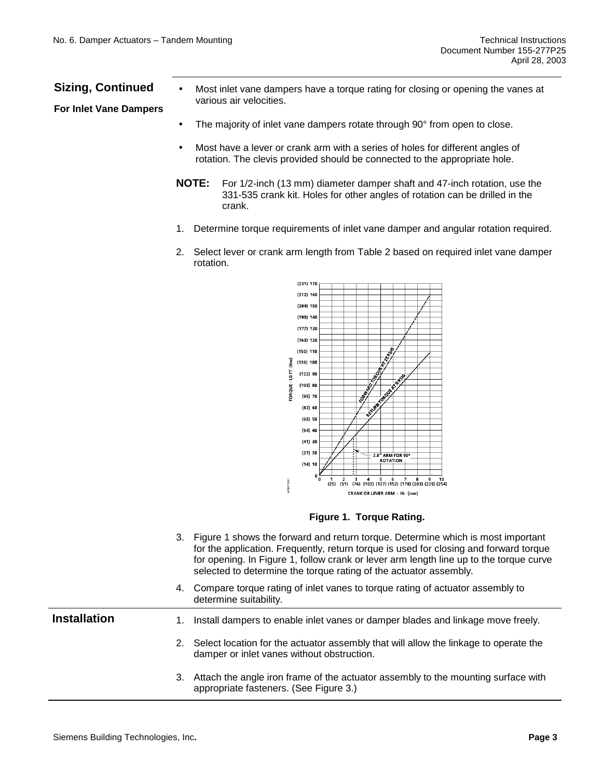### **Sizing, Continued**

**For Inlet Vane Dampers**

- Most inlet vane dampers have a torque rating for closing or opening the vanes at various air velocities.
- The majority of inlet vane dampers rotate through 90° from open to close.
- Most have a lever or crank arm with a series of holes for different angles of rotation. The clevis provided should be connected to the appropriate hole.
- **NOTE:** For 1/2-inch (13 mm) diameter damper shaft and 47-inch rotation, use the 331-535 crank kit. Holes for other angles of rotation can be drilled in the crank.
- 1. Determine torque requirements of inlet vane damper and angular rotation required.
- 2. Select lever or crank arm length from Table 2 based on required inlet vane damper rotation.



**Figure 1. Torque Rating.** 

 3. Figure 1 shows the forward and return torque. Determine which is most important for the application. Frequently, return torque is used for closing and forward torque for opening. In Figure 1, follow crank or lever arm length line up to the torque curve selected to determine the torque rating of the actuator assembly. 4. Compare torque rating of inlet vanes to torque rating of actuator assembly to determine suitability. **Installation** 1. Install dampers to enable inlet vanes or damper blades and linkage move freely. 2. Select location for the actuator assembly that will allow the linkage to operate the damper or inlet vanes without obstruction. 3. Attach the angle iron frame of the actuator assembly to the mounting surface with appropriate fasteners. (See Figure 3.)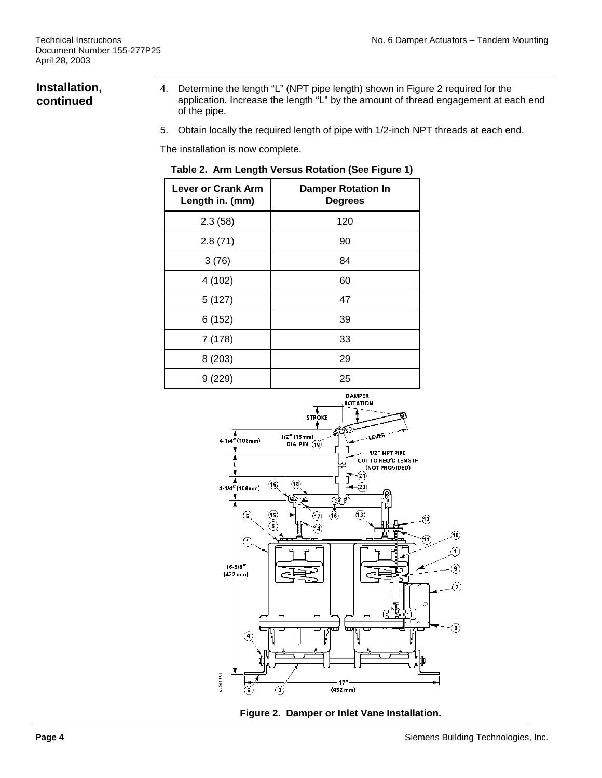# **Installation, continued**

- 4. Determine the length "L" (NPT pipe length) shown in Figure 2 required for the application. Increase the length "L" by the amount of thread engagement at each end of the pipe.
- 5. Obtain locally the required length of pipe with 1/2-inch NPT threads at each end.

The installation is now complete.

|  | Table 2. Arm Length Versus Rotation (See Figure 1) |  |  |  |  |  |
|--|----------------------------------------------------|--|--|--|--|--|
|--|----------------------------------------------------|--|--|--|--|--|

| <b>Lever or Crank Arm</b><br>Length in. (mm) | <b>Damper Rotation In</b><br><b>Degrees</b> |
|----------------------------------------------|---------------------------------------------|
| 2.3(58)                                      | 120                                         |
| 2.8(71)                                      | 90                                          |
| 3(76)                                        | 84                                          |
| 4 (102)                                      | 60                                          |
| 5(127)                                       | 47                                          |
| 6(152)                                       | 39                                          |
| 7 (178)                                      | 33                                          |
| 8 (203)                                      | 29                                          |
| 9(229)                                       | 25                                          |